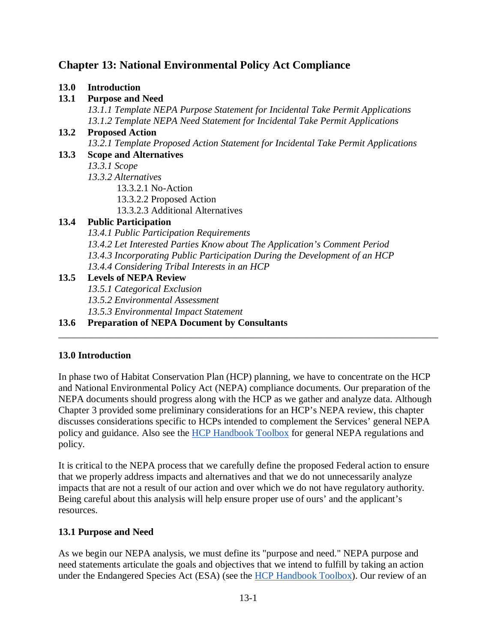## **Chapter 13: National Environmental Policy Act Compliance**

#### **13.0 Introduction**

## **13.1 Purpose and Need**

*13.1.1 Template NEPA Purpose Statement for Incidental Take Permit Applications 13.1.2 Template NEPA Need Statement for Incidental Take Permit Applications*

# **13.2 Proposed Action** *13.2.1 Template Proposed Action Statement for Incidental Take Permit Applications*

### **13.3 Scope and Alternatives**

*13.3.1 Scope*

*13.3.2 Alternatives*

- 13.3.2.1 No-Action
- 13.3.2.2 Proposed Action
- 13.3.2.3 Additional Alternatives

## **13.4 Public Participation**

*13.4.1 Public Participation Requirements*

- *13.4.2 Let Interested Parties Know about The Application's Comment Period*
- *13.4.3 Incorporating Public Participation During the Development of an HCP*
- *13.4.4 Considering Tribal Interests in an HCP*

## **13.5 Levels of NEPA Review**

- *13.5.1 Categorical Exclusion*
- *13.5.2 Environmental Assessment*

*13.5.3 Environmental Impact Statement*

## **13.6 Preparation of NEPA Document by Consultants**

## **13.0 Introduction**

In phase two of Habitat Conservation Plan (HCP) planning, we have to concentrate on the HCP and National Environmental Policy Act (NEPA) compliance documents. Our preparation of the NEPA documents should progress along with the HCP as we gather and analyze data. Although Chapter 3 provided some preliminary considerations for an HCP's NEPA review, this chapter discusses considerations specific to HCPs intended to complement the Services' general NEPA policy and guidance. Also see the [HCP Handbook Toolbox](https://www.fws.gov/endangered/what-we-do/hcp-handbook-toolbox.html) for general NEPA regulations and policy.

\_\_\_\_\_\_\_\_\_\_\_\_\_\_\_\_\_\_\_\_\_\_\_\_\_\_\_\_\_\_\_\_\_\_\_\_\_\_\_\_\_\_\_\_\_\_\_\_\_\_\_\_\_\_\_\_\_\_\_\_\_\_\_\_\_\_\_\_\_\_\_\_\_\_\_\_\_\_

It is critical to the NEPA process that we carefully define the proposed Federal action to ensure that we properly address impacts and alternatives and that we do not unnecessarily analyze impacts that are not a result of our action and over which we do not have regulatory authority. Being careful about this analysis will help ensure proper use of ours' and the applicant's resources.

## **13.1 Purpose and Need**

As we begin our NEPA analysis, we must define its "purpose and need." NEPA purpose and need statements articulate the goals and objectives that we intend to fulfill by taking an action under the Endangered Species Act (ESA) (see the [HCP Handbook Toolbox\)](https://www.fws.gov/endangered/what-we-do/hcp-handbook-toolbox.html#Ch13). Our review of an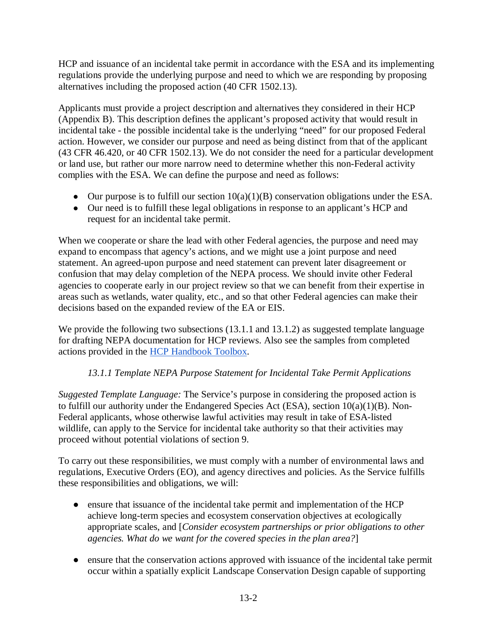HCP and issuance of an incidental take permit in accordance with the ESA and its implementing regulations provide the underlying purpose and need to which we are responding by proposing alternatives including the proposed action (40 CFR 1502.13).

Applicants must provide a project description and alternatives they considered in their HCP (Appendix B). This description defines the applicant's proposed activity that would result in incidental take - the possible incidental take is the underlying "need" for our proposed Federal action. However, we consider our purpose and need as being distinct from that of the applicant (43 CFR 46.420, or 40 CFR 1502.13). We do not consider the need for a particular development or land use, but rather our more narrow need to determine whether this non-Federal activity complies with the ESA. We can define the purpose and need as follows:

- Our purpose is to fulfill our section  $10(a)(1)(B)$  conservation obligations under the ESA.
- Our need is to fulfill these legal obligations in response to an applicant's HCP and request for an incidental take permit.

When we cooperate or share the lead with other Federal agencies, the purpose and need may expand to encompass that agency's actions, and we might use a joint purpose and need statement. An agreed-upon purpose and need statement can prevent later disagreement or confusion that may delay completion of the NEPA process. We should invite other Federal agencies to cooperate early in our project review so that we can benefit from their expertise in areas such as wetlands, water quality, etc., and so that other Federal agencies can make their decisions based on the expanded review of the EA or EIS.

We provide the following two subsections (13.1.1 and 13.1.2) as suggested template language for drafting NEPA documentation for HCP reviews. Also see the samples from completed actions provided in the [HCP Handbook Toolbox.](https://www.fws.gov/endangered/what-we-do/hcp-handbook-toolbox.html#Ch13)

## *13.1.1 Template NEPA Purpose Statement for Incidental Take Permit Applications*

*Suggested Template Language:* The Service's purpose in considering the proposed action is to fulfill our authority under the Endangered Species Act (ESA), section 10(a)(1)(B). Non-Federal applicants, whose otherwise lawful activities may result in take of ESA-listed wildlife, can apply to the Service for incidental take authority so that their activities may proceed without potential violations of section 9.

To carry out these responsibilities, we must comply with a number of environmental laws and regulations, Executive Orders (EO), and agency directives and policies. As the Service fulfills these responsibilities and obligations, we will:

- ensure that issuance of the incidental take permit and implementation of the HCP achieve long-term species and ecosystem conservation objectives at ecologically appropriate scales, and [*Consider ecosystem partnerships or prior obligations to other agencies. What do we want for the covered species in the plan area?*]
- ensure that the conservation actions approved with issuance of the incidental take permit occur within a spatially explicit Landscape Conservation Design capable of supporting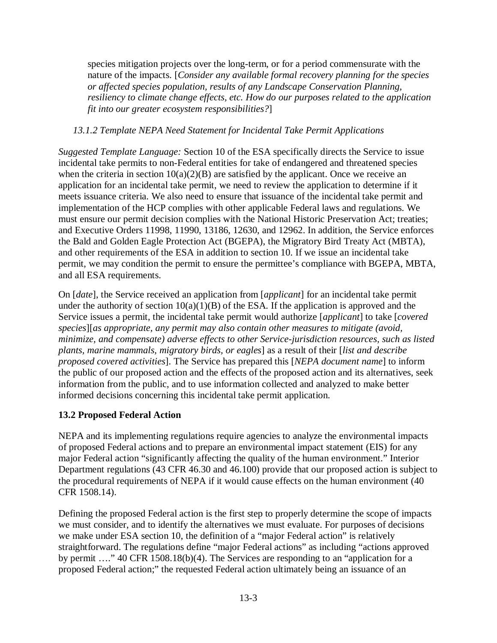species mitigation projects over the long-term, or for a period commensurate with the nature of the impacts. [*Consider any available formal recovery planning for the species or affected species population, results of any Landscape Conservation Planning, resiliency to climate change effects, etc. How do our purposes related to the application fit into our greater ecosystem responsibilities?*]

#### *13.1.2 Template NEPA Need Statement for Incidental Take Permit Applications*

*Suggested Template Language:* Section 10 of the ESA specifically directs the Service to issue incidental take permits to non-Federal entities for take of endangered and threatened species when the criteria in section  $10(a)(2)(B)$  are satisfied by the applicant. Once we receive an application for an incidental take permit, we need to review the application to determine if it meets issuance criteria. We also need to ensure that issuance of the incidental take permit and implementation of the HCP complies with other applicable Federal laws and regulations. We must ensure our permit decision complies with the National Historic Preservation Act; treaties; and Executive Orders 11998, 11990, 13186, 12630, and 12962. In addition, the Service enforces the Bald and Golden Eagle Protection Act (BGEPA), the Migratory Bird Treaty Act (MBTA), and other requirements of the ESA in addition to section 10. If we issue an incidental take permit, we may condition the permit to ensure the permittee's compliance with BGEPA, MBTA, and all ESA requirements.

On [*date*], the Service received an application from [*applicant*] for an incidental take permit under the authority of section  $10(a)(1)(B)$  of the ESA. If the application is approved and the Service issues a permit, the incidental take permit would authorize [*applicant*] to take [*covered species*][*as appropriate, any permit may also contain other measures to mitigate (avoid, minimize, and compensate) adverse effects to other Service-jurisdiction resources, such as listed plants, marine mammals, migratory birds, or eagles*] as a result of their [*list and describe proposed covered activities*]. The Service has prepared this [*NEPA document name*] to inform the public of our proposed action and the effects of the proposed action and its alternatives, seek information from the public, and to use information collected and analyzed to make better informed decisions concerning this incidental take permit application.

## **13.2 Proposed Federal Action**

NEPA and its implementing regulations require agencies to analyze the environmental impacts of proposed Federal actions and to prepare an environmental impact statement (EIS) for any major Federal action "significantly affecting the quality of the human environment." Interior Department regulations (43 CFR 46.30 and 46.100) provide that our proposed action is subject to the procedural requirements of NEPA if it would cause effects on the human environment (40 CFR 1508.14).

Defining the proposed Federal action is the first step to properly determine the scope of impacts we must consider, and to identify the alternatives we must evaluate. For purposes of decisions we make under ESA section 10, the definition of a "major Federal action" is relatively straightforward. The regulations define "major Federal actions" as including "actions approved by permit …." 40 CFR 1508.18(b)(4). The Services are responding to an "application for a proposed Federal action;" the requested Federal action ultimately being an issuance of an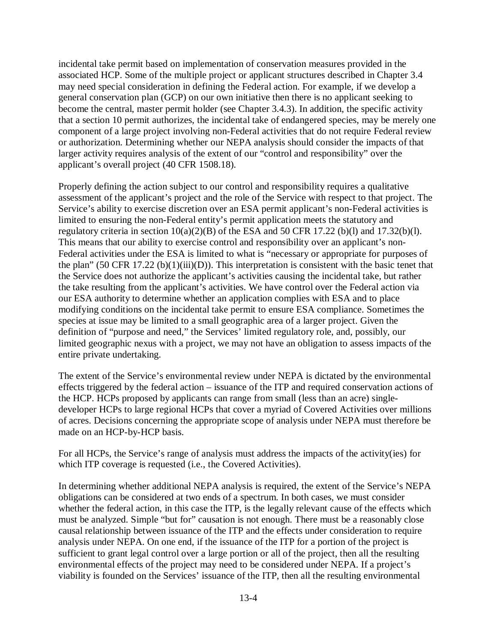incidental take permit based on implementation of conservation measures provided in the associated HCP. Some of the multiple project or applicant structures described in Chapter 3.4 may need special consideration in defining the Federal action. For example, if we develop a general conservation plan (GCP) on our own initiative then there is no applicant seeking to become the central, master permit holder (see Chapter 3.4.3). In addition, the specific activity that a section 10 permit authorizes, the incidental take of endangered species, may be merely one component of a large project involving non-Federal activities that do not require Federal review or authorization. Determining whether our NEPA analysis should consider the impacts of that larger activity requires analysis of the extent of our "control and responsibility" over the applicant's overall project (40 CFR 1508.18).

Properly defining the action subject to our control and responsibility requires a qualitative assessment of the applicant's project and the role of the Service with respect to that project. The Service's ability to exercise discretion over an ESA permit applicant's non-Federal activities is limited to ensuring the non-Federal entity's permit application meets the statutory and regulatory criteria in section  $10(a)(2)(B)$  of the ESA and 50 CFR 17.22 (b)(l) and 17.32(b)(l). This means that our ability to exercise control and responsibility over an applicant's non-Federal activities under the ESA is limited to what is "necessary or appropriate for purposes of the plan" (50 CFR 17.22 (b)(1)(iii)(D)). This interpretation is consistent with the basic tenet that the Service does not authorize the applicant's activities causing the incidental take, but rather the take resulting from the applicant's activities. We have control over the Federal action via our ESA authority to determine whether an application complies with ESA and to place modifying conditions on the incidental take permit to ensure ESA compliance. Sometimes the species at issue may be limited to a small geographic area of a larger project. Given the definition of "purpose and need," the Services' limited regulatory role, and, possibly, our limited geographic nexus with a project, we may not have an obligation to assess impacts of the entire private undertaking.

The extent of the Service's environmental review under NEPA is dictated by the environmental effects triggered by the federal action – issuance of the ITP and required conservation actions of the HCP. HCPs proposed by applicants can range from small (less than an acre) singledeveloper HCPs to large regional HCPs that cover a myriad of Covered Activities over millions of acres. Decisions concerning the appropriate scope of analysis under NEPA must therefore be made on an HCP-by-HCP basis.

For all HCPs, the Service's range of analysis must address the impacts of the activity(ies) for which ITP coverage is requested (i.e., the Covered Activities).

In determining whether additional NEPA analysis is required, the extent of the Service's NEPA obligations can be considered at two ends of a spectrum. In both cases, we must consider whether the federal action, in this case the ITP, is the legally relevant cause of the effects which must be analyzed. Simple "but for" causation is not enough. There must be a reasonably close causal relationship between issuance of the ITP and the effects under consideration to require analysis under NEPA. On one end, if the issuance of the ITP for a portion of the project is sufficient to grant legal control over a large portion or all of the project, then all the resulting environmental effects of the project may need to be considered under NEPA. If a project's viability is founded on the Services' issuance of the ITP, then all the resulting environmental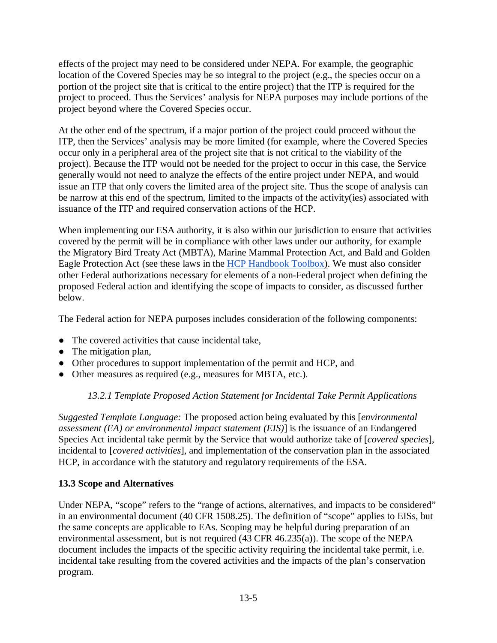effects of the project may need to be considered under NEPA. For example, the geographic location of the Covered Species may be so integral to the project (e.g., the species occur on a portion of the project site that is critical to the entire project) that the ITP is required for the project to proceed. Thus the Services' analysis for NEPA purposes may include portions of the project beyond where the Covered Species occur.

At the other end of the spectrum, if a major portion of the project could proceed without the ITP, then the Services' analysis may be more limited (for example, where the Covered Species occur only in a peripheral area of the project site that is not critical to the viability of the project). Because the ITP would not be needed for the project to occur in this case, the Service generally would not need to analyze the effects of the entire project under NEPA, and would issue an ITP that only covers the limited area of the project site. Thus the scope of analysis can be narrow at this end of the spectrum, limited to the impacts of the activity(ies) associated with issuance of the ITP and required conservation actions of the HCP.

When implementing our ESA authority, it is also within our jurisdiction to ensure that activities covered by the permit will be in compliance with other laws under our authority, for example the Migratory Bird Treaty Act (MBTA), Marine Mammal Protection Act, and Bald and Golden Eagle Protection Act (see these laws in the [HCP Handbook Toolbox\)](https://www.fws.gov/endangered/what-we-do/hcp-handbook-toolbox.html#Ch13). We must also consider other Federal authorizations necessary for elements of a non-Federal project when defining the proposed Federal action and identifying the scope of impacts to consider, as discussed further below.

The Federal action for NEPA purposes includes consideration of the following components:

- The covered activities that cause incidental take.
- The mitigation plan,
- Other procedures to support implementation of the permit and HCP, and
- Other measures as required (e.g., measures for MBTA, etc.).

## *13.2.1 Template Proposed Action Statement for Incidental Take Permit Applications*

*Suggested Template Language:* The proposed action being evaluated by this [*environmental assessment (EA) or environmental impact statement (EIS)*] is the issuance of an Endangered Species Act incidental take permit by the Service that would authorize take of [*covered species*], incidental to [*covered activities*], and implementation of the conservation plan in the associated HCP, in accordance with the statutory and regulatory requirements of the ESA.

## **13.3 Scope and Alternatives**

Under NEPA, "scope" refers to the "range of actions, alternatives, and impacts to be considered" in an environmental document (40 CFR 1508.25). The definition of "scope" applies to EISs, but the same concepts are applicable to EAs. Scoping may be helpful during preparation of an environmental assessment, but is not required (43 CFR 46.235(a)). The scope of the NEPA document includes the impacts of the specific activity requiring the incidental take permit, i.e. incidental take resulting from the covered activities and the impacts of the plan's conservation program.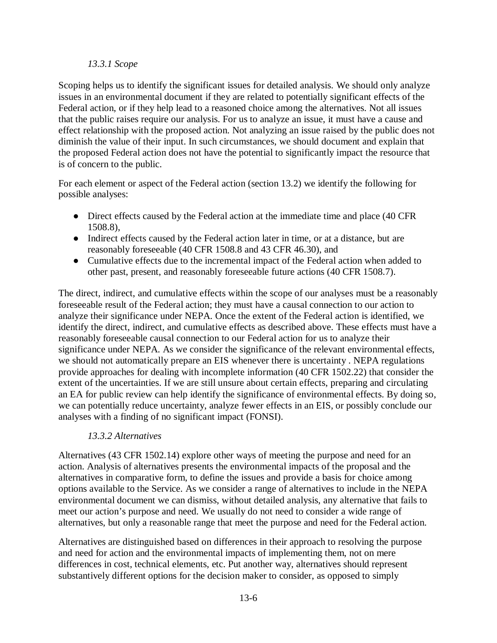#### *13.3.1 Scope*

Scoping helps us to identify the significant issues for detailed analysis. We should only analyze issues in an environmental document if they are related to potentially significant effects of the Federal action, or if they help lead to a reasoned choice among the alternatives. Not all issues that the public raises require our analysis. For us to analyze an issue, it must have a cause and effect relationship with the proposed action. Not analyzing an issue raised by the public does not diminish the value of their input. In such circumstances, we should document and explain that the proposed Federal action does not have the potential to significantly impact the resource that is of concern to the public.

For each element or aspect of the Federal action (section 13.2) we identify the following for possible analyses:

- Direct effects caused by the Federal action at the immediate time and place (40 CFR) 1508.8),
- Indirect effects caused by the Federal action later in time, or at a distance, but are reasonably foreseeable (40 CFR 1508.8 and 43 CFR 46.30), and
- Cumulative effects due to the incremental impact of the Federal action when added to other past, present, and reasonably foreseeable future actions (40 CFR 1508.7).

The direct, indirect, and cumulative effects within the scope of our analyses must be a reasonably foreseeable result of the Federal action; they must have a causal connection to our action to analyze their significance under NEPA. Once the extent of the Federal action is identified, we identify the direct, indirect, and cumulative effects as described above. These effects must have a reasonably foreseeable causal connection to our Federal action for us to analyze their significance under NEPA. As we consider the significance of the relevant environmental effects, we should not automatically prepare an EIS whenever there is uncertainty . NEPA regulations provide approaches for dealing with incomplete information (40 CFR 1502.22) that consider the extent of the uncertainties. If we are still unsure about certain effects, preparing and circulating an EA for public review can help identify the significance of environmental effects. By doing so, we can potentially reduce uncertainty, analyze fewer effects in an EIS, or possibly conclude our analyses with a finding of no significant impact (FONSI).

#### *13.3.2 Alternatives*

Alternatives (43 CFR 1502.14) explore other ways of meeting the purpose and need for an action. Analysis of alternatives presents the environmental impacts of the proposal and the alternatives in comparative form, to define the issues and provide a basis for choice among options available to the Service. As we consider a range of alternatives to include in the NEPA environmental document we can dismiss, without detailed analysis, any alternative that fails to meet our action's purpose and need. We usually do not need to consider a wide range of alternatives, but only a reasonable range that meet the purpose and need for the Federal action.

Alternatives are distinguished based on differences in their approach to resolving the purpose and need for action and the environmental impacts of implementing them, not on mere differences in cost, technical elements, etc. Put another way, alternatives should represent substantively different options for the decision maker to consider, as opposed to simply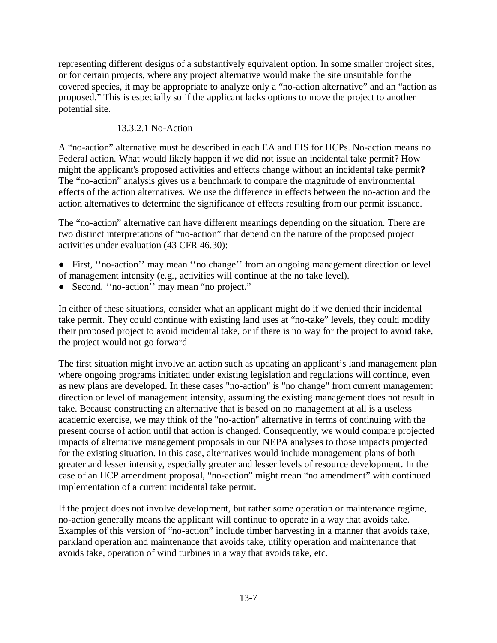representing different designs of a substantively equivalent option. In some smaller project sites, or for certain projects, where any project alternative would make the site unsuitable for the covered species, it may be appropriate to analyze only a "no-action alternative" and an "action as proposed." This is especially so if the applicant lacks options to move the project to another potential site.

### 13.3.2.1 No-Action

A "no-action" alternative must be described in each EA and EIS for HCPs. No-action means no Federal action. What would likely happen if we did not issue an incidental take permit? How might the applicant's proposed activities and effects change without an incidental take permit**?**  The "no-action" analysis gives us a benchmark to compare the magnitude of environmental effects of the action alternatives. We use the difference in effects between the no-action and the action alternatives to determine the significance of effects resulting from our permit issuance.

The "no-action" alternative can have different meanings depending on the situation. There are two distinct interpretations of "no-action" that depend on the nature of the proposed project activities under evaluation (43 CFR 46.30):

- First, ''no-action'' may mean ''no change'' from an ongoing management direction or level of management intensity (e.g*.*, activities will continue at the no take level).
- Second, "no-action" may mean "no project."

In either of these situations, consider what an applicant might do if we denied their incidental take permit. They could continue with existing land uses at "no-take" levels, they could modify their proposed project to avoid incidental take, or if there is no way for the project to avoid take, the project would not go forward

The first situation might involve an action such as updating an applicant's land management plan where ongoing programs initiated under existing legislation and regulations will continue, even as new plans are developed. In these cases "no-action" is "no change" from current management direction or level of management intensity, assuming the existing management does not result in take. Because constructing an alternative that is based on no management at all is a useless academic exercise, we may think of the "no-action" alternative in terms of continuing with the present course of action until that action is changed. Consequently, we would compare projected impacts of alternative management proposals in our NEPA analyses to those impacts projected for the existing situation. In this case, alternatives would include management plans of both greater and lesser intensity, especially greater and lesser levels of resource development. In the case of an HCP amendment proposal, "no-action" might mean "no amendment" with continued implementation of a current incidental take permit.

If the project does not involve development, but rather some operation or maintenance regime, no-action generally means the applicant will continue to operate in a way that avoids take. Examples of this version of "no-action" include timber harvesting in a manner that avoids take, parkland operation and maintenance that avoids take, utility operation and maintenance that avoids take, operation of wind turbines in a way that avoids take, etc.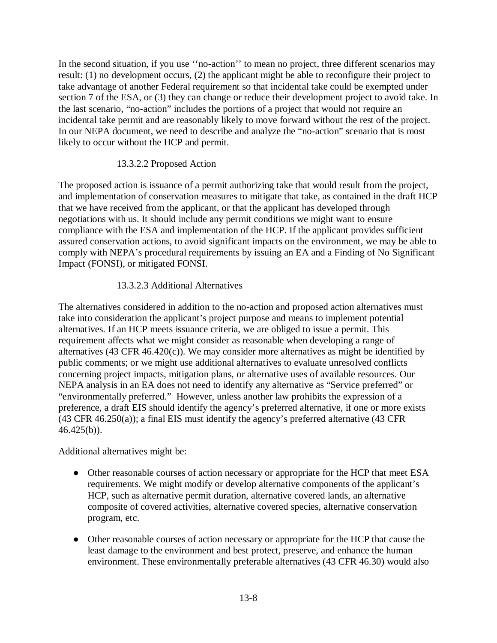In the second situation, if you use "no-action" to mean no project, three different scenarios may result: (1) no development occurs, (2) the applicant might be able to reconfigure their project to take advantage of another Federal requirement so that incidental take could be exempted under section 7 of the ESA, or (3) they can change or reduce their development project to avoid take. In the last scenario, "no-action" includes the portions of a project that would not require an incidental take permit and are reasonably likely to move forward without the rest of the project. In our NEPA document, we need to describe and analyze the "no-action" scenario that is most likely to occur without the HCP and permit.

#### 13.3.2.2 Proposed Action

The proposed action is issuance of a permit authorizing take that would result from the project, and implementation of conservation measures to mitigate that take, as contained in the draft HCP that we have received from the applicant, or that the applicant has developed through negotiations with us. It should include any permit conditions we might want to ensure compliance with the ESA and implementation of the HCP. If the applicant provides sufficient assured conservation actions, to avoid significant impacts on the environment, we may be able to comply with NEPA's procedural requirements by issuing an EA and a Finding of No Significant Impact (FONSI), or mitigated FONSI.

### 13.3.2.3 Additional Alternatives

The alternatives considered in addition to the no-action and proposed action alternatives must take into consideration the applicant's project purpose and means to implement potential alternatives. If an HCP meets issuance criteria, we are obliged to issue a permit. This requirement affects what we might consider as reasonable when developing a range of alternatives (43 CFR 46.420(c)). We may consider more alternatives as might be identified by public comments; or we might use additional alternatives to evaluate unresolved conflicts concerning project impacts, mitigation plans, or alternative uses of available resources. Our NEPA analysis in an EA does not need to identify any alternative as "Service preferred" or "environmentally preferred." However, unless another law prohibits the expression of a preference, a draft EIS should identify the agency's preferred alternative, if one or more exists (43 CFR 46.250(a)); a final EIS must identify the agency's preferred alternative (43 CFR  $46.425(b)$ ).

Additional alternatives might be:

- Other reasonable courses of action necessary or appropriate for the HCP that meet ESA requirements. We might modify or develop alternative components of the applicant's HCP, such as alternative permit duration, alternative covered lands, an alternative composite of covered activities, alternative covered species, alternative conservation program, etc.
- Other reasonable courses of action necessary or appropriate for the HCP that cause the least damage to the environment and best protect, preserve, and enhance the human environment. These environmentally preferable alternatives (43 CFR 46.30) would also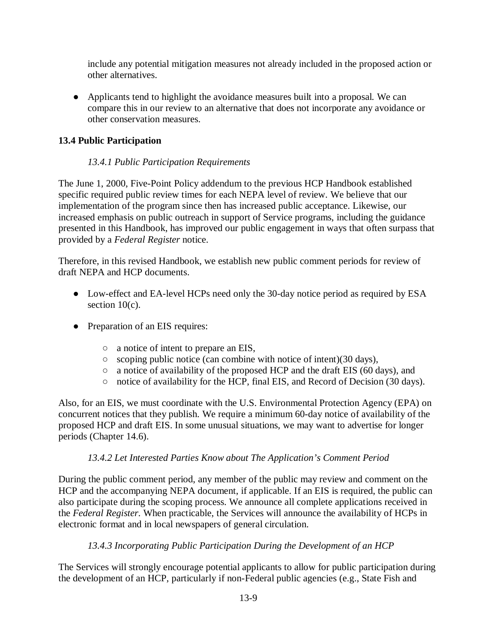include any potential mitigation measures not already included in the proposed action or other alternatives.

● Applicants tend to highlight the avoidance measures built into a proposal. We can compare this in our review to an alternative that does not incorporate any avoidance or other conservation measures.

## **13.4 Public Participation**

## *13.4.1 Public Participation Requirements*

The June 1, 2000, Five-Point Policy addendum to the previous HCP Handbook established specific required public review times for each NEPA level of review. We believe that our implementation of the program since then has increased public acceptance. Likewise, our increased emphasis on public outreach in support of Service programs, including the guidance presented in this Handbook, has improved our public engagement in ways that often surpass that provided by a *Federal Register* notice.

Therefore, in this revised Handbook, we establish new public comment periods for review of draft NEPA and HCP documents.

- Low-effect and EA-level HCPs need only the 30-day notice period as required by ESA section  $10(c)$ .
- Preparation of an EIS requires:
	- a notice of intent to prepare an EIS,
	- scoping public notice (can combine with notice of intent)(30 days),
	- a notice of availability of the proposed HCP and the draft EIS (60 days), and
	- notice of availability for the HCP, final EIS, and Record of Decision (30 days).

Also, for an EIS, we must coordinate with the U.S. Environmental Protection Agency (EPA) on concurrent notices that they publish. We require a minimum 60-day notice of availability of the proposed HCP and draft EIS. In some unusual situations, we may want to advertise for longer periods (Chapter 14.6).

## *13.4.2 Let Interested Parties Know about The Application's Comment Period*

During the public comment period, any member of the public may review and comment on the HCP and the accompanying NEPA document, if applicable. If an EIS is required, the public can also participate during the scoping process. We announce all complete applications received in the *Federal Register*. When practicable, the Services will announce the availability of HCPs in electronic format and in local newspapers of general circulation.

## *13.4.3 Incorporating Public Participation During the Development of an HCP*

The Services will strongly encourage potential applicants to allow for public participation during the development of an HCP, particularly if non-Federal public agencies (e.g., State Fish and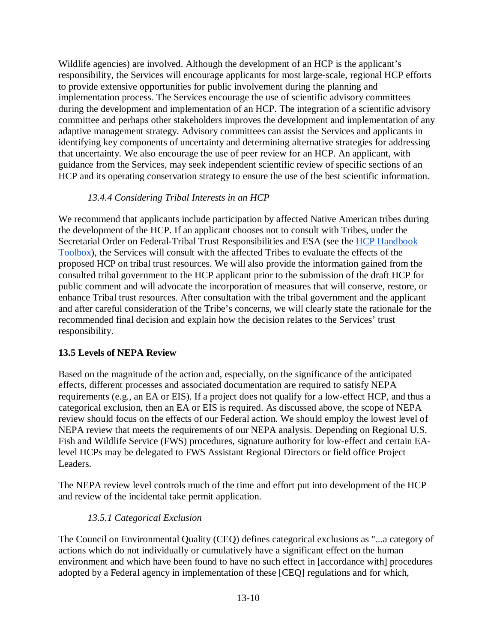Wildlife agencies) are involved. Although the development of an HCP is the applicant's responsibility, the Services will encourage applicants for most large-scale, regional HCP efforts to provide extensive opportunities for public involvement during the planning and implementation process. The Services encourage the use of scientific advisory committees during the development and implementation of an HCP. The integration of a scientific advisory committee and perhaps other stakeholders improves the development and implementation of any adaptive management strategy. Advisory committees can assist the Services and applicants in identifying key components of uncertainty and determining alternative strategies for addressing that uncertainty. We also encourage the use of peer review for an HCP. An applicant, with guidance from the Services, may seek independent scientific review of specific sections of an HCP and its operating conservation strategy to ensure the use of the best scientific information.

### *13.4.4 Considering Tribal Interests in an HCP*

We recommend that applicants include participation by affected Native American tribes during the development of the HCP. If an applicant chooses not to consult with Tribes, under the Secretarial Order on Federal-Tribal Trust Responsibilities and ESA (see the [HCP Handbook](https://www.fws.gov/endangered/what-we-do/hcp-handbook-toolbox.html#Ch13)  [Toolbox\)](https://www.fws.gov/endangered/what-we-do/hcp-handbook-toolbox.html#Ch13), the Services will consult with the affected Tribes to evaluate the effects of the proposed HCP on tribal trust resources. We will also provide the information gained from the consulted tribal government to the HCP applicant prior to the submission of the draft HCP for public comment and will advocate the incorporation of measures that will conserve, restore, or enhance Tribal trust resources. After consultation with the tribal government and the applicant and after careful consideration of the Tribe's concerns, we will clearly state the rationale for the recommended final decision and explain how the decision relates to the Services' trust responsibility.

#### **13.5 Levels of NEPA Review**

Based on the magnitude of the action and, especially, on the significance of the anticipated effects, different processes and associated documentation are required to satisfy NEPA requirements (e.g., an EA or EIS). If a project does not qualify for a low-effect HCP, and thus a categorical exclusion, then an EA or EIS is required. As discussed above, the scope of NEPA review should focus on the effects of our Federal action. We should employ the lowest level of NEPA review that meets the requirements of our NEPA analysis. Depending on Regional U.S. Fish and Wildlife Service (FWS) procedures, signature authority for low-effect and certain EAlevel HCPs may be delegated to FWS Assistant Regional Directors or field office Project Leaders.

The NEPA review level controls much of the time and effort put into development of the HCP and review of the incidental take permit application.

## *13.5.1 Categorical Exclusion*

The Council on Environmental Quality (CEQ) defines categorical exclusions as "...a category of actions which do not individually or cumulatively have a significant effect on the human environment and which have been found to have no such effect in [accordance with] procedures adopted by a Federal agency in implementation of these [CEQ] regulations and for which,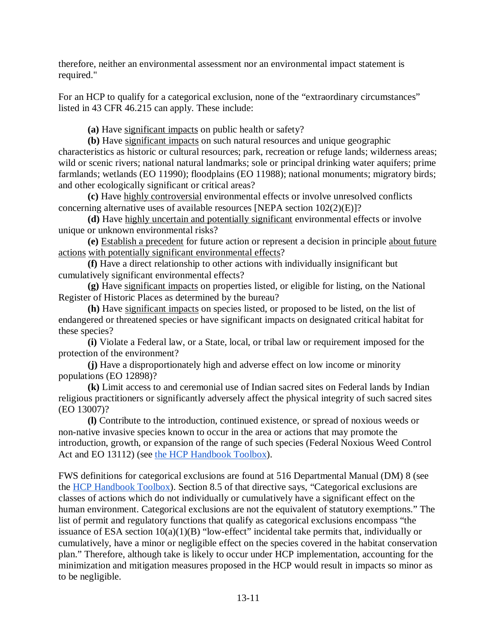therefore, neither an environmental assessment nor an environmental impact statement is required."

For an HCP to qualify for a categorical exclusion, none of the "extraordinary circumstances" listed in 43 CFR 46.215 can apply. These include:

**(a)** Have significant impacts on public health or safety?

**(b)** Have significant impacts on such natural resources and unique geographic characteristics as historic or cultural resources; park, recreation or refuge lands; wilderness areas; wild or scenic rivers; national natural landmarks; sole or principal drinking water aquifers; prime farmlands; wetlands (EO 11990); floodplains (EO 11988); national monuments; migratory birds; and other ecologically significant or critical areas?

**(c)** Have highly controversial environmental effects or involve unresolved conflicts concerning alternative uses of available resources [NEPA section 102(2)(E)]?

**(d)** Have highly uncertain and potentially significant environmental effects or involve unique or unknown environmental risks?

**(e)** Establish a precedent for future action or represent a decision in principle about future actions with potentially significant environmental effects?

**(f)** Have a direct relationship to other actions with individually insignificant but cumulatively significant environmental effects?

**(g)** Have significant impacts on properties listed, or eligible for listing, on the National Register of Historic Places as determined by the bureau?

**(h)** Have significant impacts on species listed, or proposed to be listed, on the list of endangered or threatened species or have significant impacts on designated critical habitat for these species?

**(i)** Violate a Federal law, or a State, local, or tribal law or requirement imposed for the protection of the environment?

**(j)** Have a disproportionately high and adverse effect on low income or minority populations (EO 12898)?

**(k)** Limit access to and ceremonial use of Indian sacred sites on Federal lands by Indian religious practitioners or significantly adversely affect the physical integrity of such sacred sites (EO 13007)?

**(l)** Contribute to the introduction, continued existence, or spread of noxious weeds or non-native invasive species known to occur in the area or actions that may promote the introduction, growth, or expansion of the range of such species (Federal Noxious Weed Control Act and EO 13112) (see [the HCP Handbook Toolbox\)](https://www.fws.gov/endangered/what-we-do/hcp-handbook-toolbox.html#Ch13).

FWS definitions for categorical exclusions are found at 516 Departmental Manual (DM) 8 (see the [HCP Handbook Toolbox\)](https://www.fws.gov/endangered/what-we-do/hcp-handbook-toolbox.html#Ch13). Section 8.5 of that directive says, "Categorical exclusions are classes of actions which do not individually or cumulatively have a significant effect on the human environment. Categorical exclusions are not the equivalent of statutory exemptions." The list of permit and regulatory functions that qualify as categorical exclusions encompass "the issuance of ESA section  $10(a)(1)(B)$  "low-effect" incidental take permits that, individually or cumulatively, have a minor or negligible effect on the species covered in the habitat conservation plan." Therefore, although take is likely to occur under HCP implementation, accounting for the minimization and mitigation measures proposed in the HCP would result in impacts so minor as to be negligible.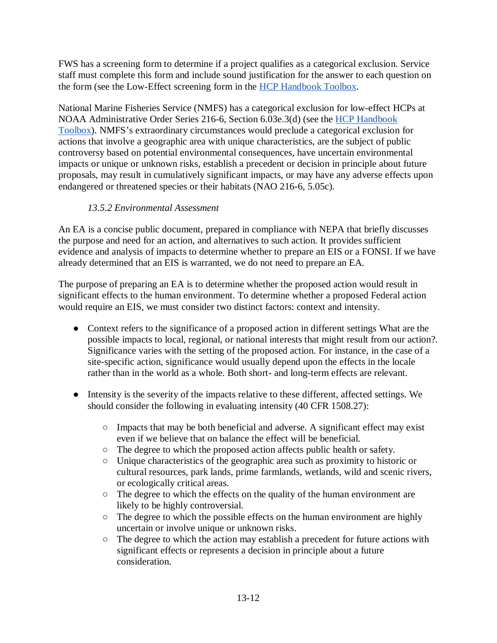FWS has a screening form to determine if a project qualifies as a categorical exclusion. Service staff must complete this form and include sound justification for the answer to each question on the form (see the Low-Effect screening form in the [HCP Handbook Toolbox.](https://www.fws.gov/endangered/what-we-do/hcp-handbook-toolbox.html#Ch13)

National Marine Fisheries Service (NMFS) has a categorical exclusion for low-effect HCPs at NOAA Administrative Order Series 216-6, Section 6.03e.3(d) (see the [HCP Handbook](https://www.fws.gov/endangered/what-we-do/hcp-handbook-toolbox.html#Ch13)  [Toolbox\)](https://www.fws.gov/endangered/what-we-do/hcp-handbook-toolbox.html#Ch13). NMFS's extraordinary circumstances would preclude a categorical exclusion for actions that involve a geographic area with unique characteristics, are the subject of public controversy based on potential environmental consequences, have uncertain environmental impacts or unique or unknown risks, establish a precedent or decision in principle about future proposals, may result in cumulatively significant impacts, or may have any adverse effects upon endangered or threatened species or their habitats (NAO 216-6, 5.05c).

## *13.5.2 Environmental Assessment*

An EA is a concise public document, prepared in compliance with NEPA that briefly discusses the purpose and need for an action, and alternatives to such action. It provides sufficient evidence and analysis of impacts to determine whether to prepare an EIS or a FONSI. If we have already determined that an EIS is warranted, we do not need to prepare an EA.

The purpose of preparing an EA is to determine whether the proposed action would result in significant effects to the human environment. To determine whether a proposed Federal action would require an EIS, we must consider two distinct factors: context and intensity.

- Context refers to the significance of a proposed action in different settings What are the possible impacts to local, regional, or national interests that might result from our action?. Significance varies with the setting of the proposed action. For instance, in the case of a site-specific action, significance would usually depend upon the effects in the locale rather than in the world as a whole. Both short- and long-term effects are relevant.
- Intensity is the severity of the impacts relative to these different, affected settings. We should consider the following in evaluating intensity (40 CFR 1508.27):
	- Impacts that may be both beneficial and adverse. A significant effect may exist even if we believe that on balance the effect will be beneficial.
	- The degree to which the proposed action affects public health or safety.
	- Unique characteristics of the geographic area such as proximity to historic or cultural resources, park lands, prime farmlands, wetlands, wild and scenic rivers, or ecologically critical areas.
	- The degree to which the effects on the quality of the human environment are likely to be highly controversial.
	- The degree to which the possible effects on the human environment are highly uncertain or involve unique or unknown risks.
	- The degree to which the action may establish a precedent for future actions with significant effects or represents a decision in principle about a future consideration.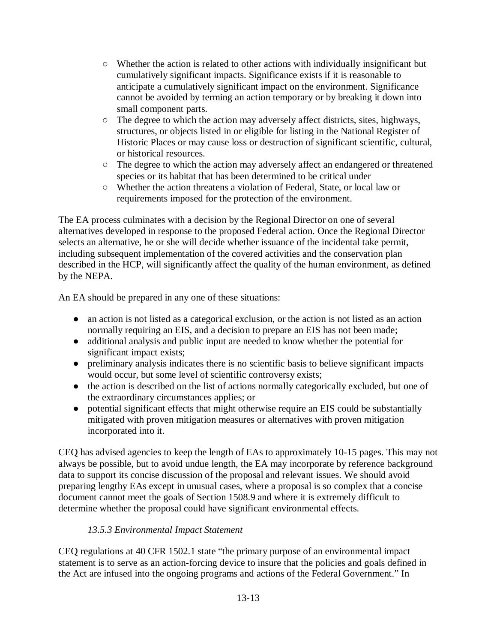- Whether the action is related to other actions with individually insignificant but cumulatively significant impacts. Significance exists if it is reasonable to anticipate a cumulatively significant impact on the environment. Significance cannot be avoided by terming an action temporary or by breaking it down into small component parts.
- The degree to which the action may adversely affect districts, sites, highways, structures, or objects listed in or eligible for listing in the National Register of Historic Places or may cause loss or destruction of significant scientific, cultural, or historical resources.
- The degree to which the action may adversely affect an endangered or threatened species or its habitat that has been determined to be critical under
- Whether the action threatens a violation of Federal, State, or local law or requirements imposed for the protection of the environment.

The EA process culminates with a decision by the Regional Director on one of several alternatives developed in response to the proposed Federal action. Once the Regional Director selects an alternative, he or she will decide whether issuance of the incidental take permit, including subsequent implementation of the covered activities and the conservation plan described in the HCP, will significantly affect the quality of the human environment, as defined by the NEPA.

An EA should be prepared in any one of these situations:

- an action is not listed as a categorical exclusion, or the action is not listed as an action normally requiring an EIS, and a decision to prepare an EIS has not been made;
- additional analysis and public input are needed to know whether the potential for significant impact exists;
- preliminary analysis indicates there is no scientific basis to believe significant impacts would occur, but some level of scientific controversy exists;
- the action is described on the list of actions normally categorically excluded, but one of the extraordinary circumstances applies; or
- potential significant effects that might otherwise require an EIS could be substantially mitigated with proven mitigation measures or alternatives with proven mitigation incorporated into it.

CEQ has advised agencies to keep the length of EAs to approximately 10-15 pages. This may not always be possible, but to avoid undue length, the EA may incorporate by reference background data to support its concise discussion of the proposal and relevant issues. We should avoid preparing lengthy EAs except in unusual cases, where a proposal is so complex that a concise document cannot meet the goals of Section 1508.9 and where it is extremely difficult to determine whether the proposal could have significant environmental effects.

## *13.5.3 Environmental Impact Statement*

CEQ regulations at 40 CFR [1502.1](http://www.gpo.gov/fdsys/pkg/CFR-2014-title40-vol33/pdf/CFR-2014-title40-vol33-part1502.pdf) state "the primary purpose of an environmental impact statement is to serve as an action-forcing device to insure that the policies and goals defined in the Act are infused into the ongoing programs and actions of the Federal Government." In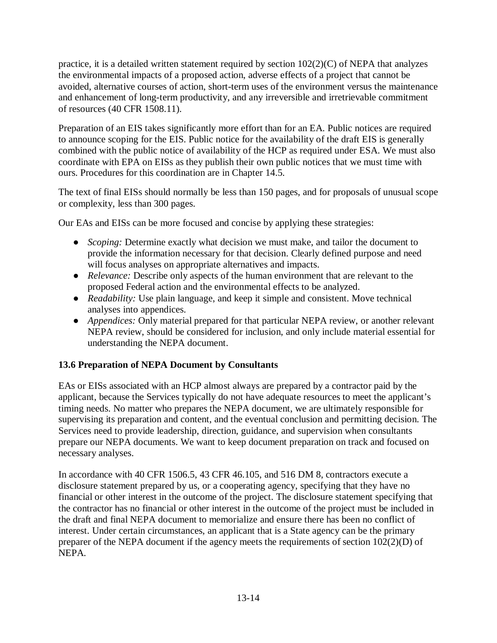practice, it is a detailed written statement required by section  $102(2)(C)$  of NEPA that analyzes the environmental impacts of a proposed action, adverse effects of a project that cannot be avoided, alternative courses of action, short-term uses of the environment versus the maintenance and enhancement of long-term productivity, and any irreversible and irretrievable commitment of resources (40 CFR 1508.11).

Preparation of an EIS takes significantly more effort than for an EA. Public notices are required to announce scoping for the EIS. Public notice for the availability of the draft EIS is generally combined with the public notice of availability of the HCP as required under ESA. We must also coordinate with EPA on EISs as they publish their own public notices that we must time with ours. Procedures for this coordination are in Chapter 14.5.

The text of final EISs should normally be less than 150 pages, and for proposals of unusual scope or complexity, less than 300 pages.

Our EAs and EISs can be more focused and concise by applying these strategies:

- *Scoping:* Determine exactly what decision we must make, and tailor the document to provide the information necessary for that decision. Clearly defined purpose and need will focus analyses on appropriate alternatives and impacts.
- *Relevance:* Describe only aspects of the human environment that are relevant to the proposed Federal action and the environmental effects to be analyzed.
- *Readability:* Use plain language, and keep it simple and consistent. Move technical analyses into appendices.
- *Appendices:* Only material prepared for that particular NEPA review, or another relevant NEPA review, should be considered for inclusion, and only include material essential for understanding the NEPA document.

## **13.6 Preparation of NEPA Document by Consultants**

EAs or EISs associated with an HCP almost always are prepared by a contractor paid by the applicant, because the Services typically do not have adequate resources to meet the applicant's timing needs. No matter who prepares the NEPA document, we are ultimately responsible for supervising its preparation and content, and the eventual conclusion and permitting decision. The Services need to provide leadership, direction, guidance, and supervision when consultants prepare our NEPA documents. We want to keep document preparation on track and focused on necessary analyses.

In accordance with 40 CFR 1506.5, 43 CFR 46.105, and 516 DM 8, contractors execute a disclosure statement prepared by us, or a cooperating agency, specifying that they have no financial or other interest in the outcome of the project. The disclosure statement specifying that the contractor has no financial or other interest in the outcome of the project must be included in the draft and final NEPA document to memorialize and ensure there has been no conflict of interest. Under certain circumstances, an applicant that is a State agency can be the primary preparer of the NEPA document if the agency meets the requirements of section 102(2)(D) of NEPA.